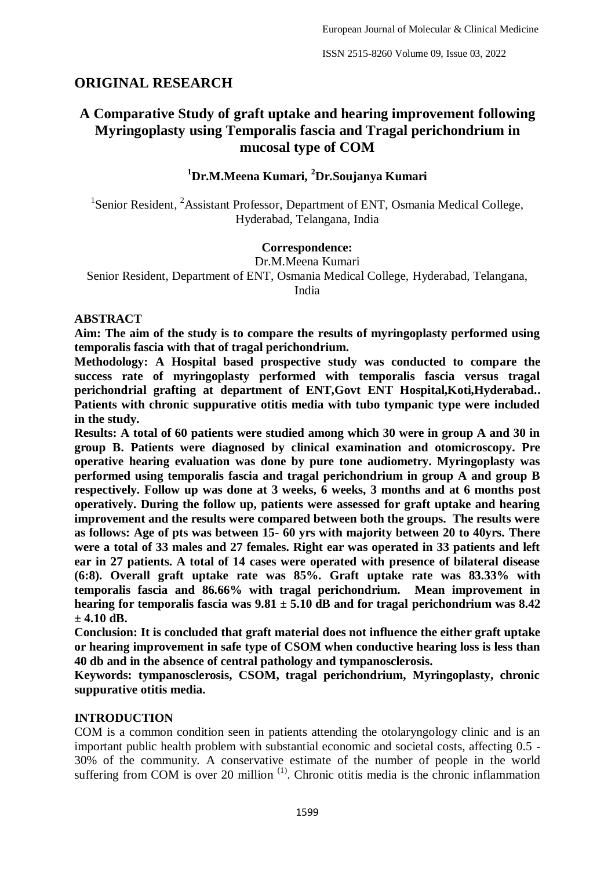# **ORIGINAL RESEARCH**

# **A Comparative Study of graft uptake and hearing improvement following Myringoplasty using Temporalis fascia and Tragal perichondrium in mucosal type of COM**

# **<sup>1</sup>Dr.M.Meena Kumari, <sup>2</sup>Dr.Soujanya Kumari**

<sup>1</sup>Senior Resident, <sup>2</sup>Assistant Professor, Department of ENT, Osmania Medical College, Hyderabad, Telangana, India

#### **Correspondence:**

Dr.M.Meena Kumari Senior Resident, Department of ENT, Osmania Medical College, Hyderabad, Telangana, India

#### **ABSTRACT**

**Aim: The aim of the study is to compare the results of myringoplasty performed using temporalis fascia with that of tragal perichondrium.**

**Methodology: A Hospital based prospective study was conducted to compare the success rate of myringoplasty performed with temporalis fascia versus tragal perichondrial grafting at department of ENT,Govt ENT Hospital,Koti,Hyderabad.. Patients with chronic suppurative otitis media with tubo tympanic type were included in the study.** 

**Results: A total of 60 patients were studied among which 30 were in group A and 30 in group B. Patients were diagnosed by clinical examination and otomicroscopy. Pre operative hearing evaluation was done by pure tone audiometry. Myringoplasty was performed using temporalis fascia and tragal perichondrium in group A and group B respectively. Follow up was done at 3 weeks, 6 weeks, 3 months and at 6 months post operatively. During the follow up, patients were assessed for graft uptake and hearing improvement and the results were compared between both the groups. The results were as follows: Age of pts was between 15- 60 yrs with majority between 20 to 40yrs. There were a total of 33 males and 27 females. Right ear was operated in 33 patients and left ear in 27 patients. A total of 14 cases were operated with presence of bilateral disease (6:8). Overall graft uptake rate was 85%. Graft uptake rate was 83.33% with temporalis fascia and 86.66% with tragal perichondrium. Mean improvement in hearing for temporalis fascia was 9.81 ± 5.10 dB and for tragal perichondrium was 8.42 ± 4.10 dB.** 

**Conclusion: It is concluded that graft material does not influence the either graft uptake or hearing improvement in safe type of CSOM when conductive hearing loss is less than 40 db and in the absence of central pathology and tympanosclerosis.**

**Keywords: tympanosclerosis, CSOM, tragal perichondrium, Myringoplasty, chronic suppurative otitis media.**

### **INTRODUCTION**

COM is a common condition seen in patients attending the otolaryngology clinic and is an important public health problem with substantial economic and societal costs, affecting 0.5 - 30% of the community. A conservative estimate of the number of people in the world suffering from COM is over 20 million<sup> $(1)$ </sup>. Chronic otitis media is the chronic inflammation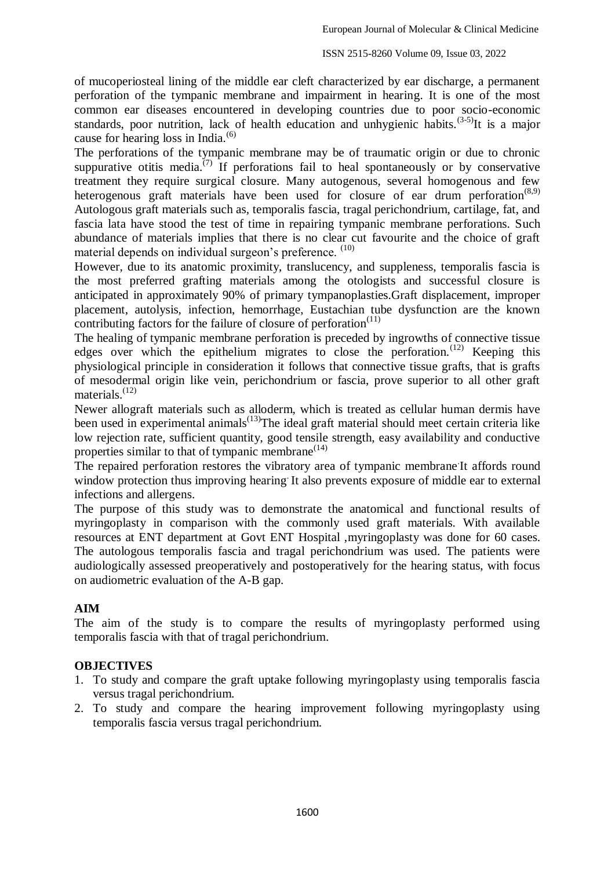of mucoperiosteal lining of the middle ear cleft characterized by ear discharge, a permanent perforation of the tympanic membrane and impairment in hearing. It is one of the most common ear diseases encountered in developing countries due to poor socio-economic standards, poor nutrition, lack of health education and unhygienic habits.<sup> $(3-5)$ </sup>It is a major cause for hearing loss in India.<sup>(6)</sup>

The perforations of the tympanic membrane may be of traumatic origin or due to chronic suppurative otitis media.<sup>(7)</sup> If perforations fail to heal spontaneously or by conservative treatment they require surgical closure. Many autogenous, several homogenous and few heterogenous graft materials have been used for closure of ear drum perforation<sup> $(8,9)$ </sup> Autologous graft materials such as, temporalis fascia, tragal perichondrium, cartilage, fat, and fascia lata have stood the test of time in repairing tympanic membrane perforations. Such abundance of materials implies that there is no clear cut favourite and the choice of graft material depends on individual surgeon's preference. (10)

However, due to its anatomic proximity, translucency, and suppleness, temporalis fascia is the most preferred grafting materials among the otologists and successful closure is anticipated in approximately 90% of primary tympanoplasties.Graft displacement, improper placement, autolysis, infection, hemorrhage, Eustachian tube dysfunction are the known contributing factors for the failure of closure of perforation<sup> $(11)$ </sup>

The healing of tympanic membrane perforation is preceded by ingrowths of connective tissue edges over which the epithelium migrates to close the perforation.<sup>(12)</sup> Keeping this physiological principle in consideration it follows that connective tissue grafts, that is grafts of mesodermal origin like vein, perichondrium or fascia, prove superior to all other graft materials.<sup>(12)</sup>

Newer allograft materials such as alloderm, which is treated as cellular human dermis have been used in experimental animals<sup> $(13)$ </sup>The ideal graft material should meet certain criteria like low rejection rate, sufficient quantity, good tensile strength, easy availability and conductive properties similar to that of tympanic membrane $(14)$ 

The repaired perforation restores the vibratory area of tympanic membrane It affords round window protection thus improving hearing. It also prevents exposure of middle ear to external infections and allergens.

The purpose of this study was to demonstrate the anatomical and functional results of myringoplasty in comparison with the commonly used graft materials. With available resources at ENT department at Govt ENT Hospital ,myringoplasty was done for 60 cases. The autologous temporalis fascia and tragal perichondrium was used. The patients were audiologically assessed preoperatively and postoperatively for the hearing status, with focus on audiometric evaluation of the A-B gap.

# **AIM**

The aim of the study is to compare the results of myringoplasty performed using temporalis fascia with that of tragal perichondrium.

#### **OBJECTIVES**

- 1. To study and compare the graft uptake following myringoplasty using temporalis fascia versus tragal perichondrium.
- 2. To study and compare the hearing improvement following myringoplasty using temporalis fascia versus tragal perichondrium.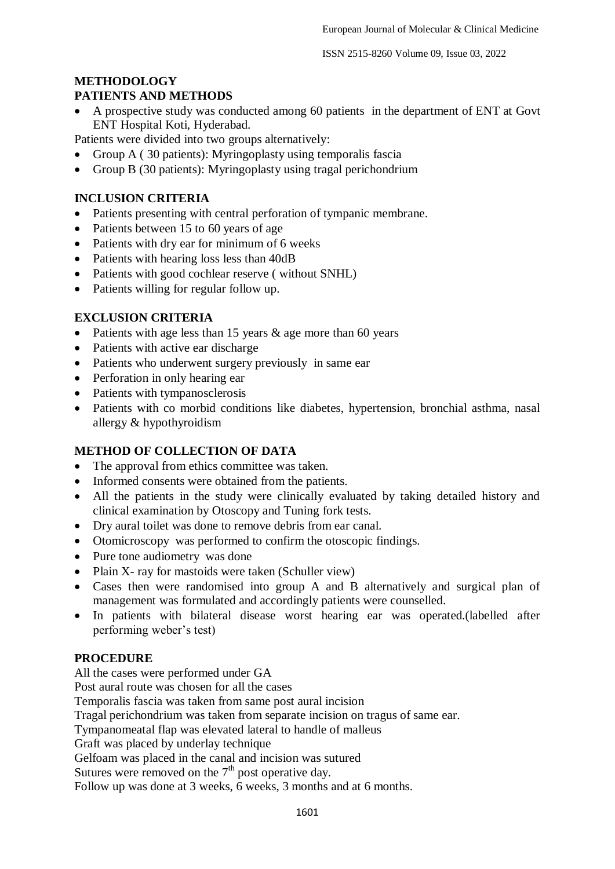# **METHODOLOGY**

# **PATIENTS AND METHODS**

 A prospective study was conducted among 60 patients in the department of ENT at Govt ENT Hospital Koti, Hyderabad.

Patients were divided into two groups alternatively:

- Group A ( 30 patients): Myringoplasty using temporalis fascia
- Group B (30 patients): Myringoplasty using tragal perichondrium

# **INCLUSION CRITERIA**

- Patients presenting with central perforation of tympanic membrane.
- Patients between 15 to 60 years of age
- Patients with dry ear for minimum of 6 weeks
- Patients with hearing loss less than 40dB
- Patients with good cochlear reserve ( without SNHL)
- Patients willing for regular follow up.

# **EXCLUSION CRITERIA**

- Patients with age less than 15 years  $\&$  age more than 60 years
- Patients with active ear discharge
- Patients who underwent surgery previously in same ear
- Perforation in only hearing ear
- Patients with tympanosclerosis
- Patients with co morbid conditions like diabetes, hypertension, bronchial asthma, nasal allergy & hypothyroidism

# **METHOD OF COLLECTION OF DATA**

- The approval from ethics committee was taken.
- Informed consents were obtained from the patients.
- All the patients in the study were clinically evaluated by taking detailed history and clinical examination by Otoscopy and Tuning fork tests.
- Dry aural toilet was done to remove debris from ear canal.
- Otomicroscopy was performed to confirm the otoscopic findings.
- Pure tone audiometry was done
- Plain X- ray for mastoids were taken (Schuller view)
- Cases then were randomised into group A and B alternatively and surgical plan of management was formulated and accordingly patients were counselled.
- In patients with bilateral disease worst hearing ear was operated.(labelled after performing weber's test)

# **PROCEDURE**

All the cases were performed under GA

Post aural route was chosen for all the cases

Temporalis fascia was taken from same post aural incision

Tragal perichondrium was taken from separate incision on tragus of same ear.

Tympanomeatal flap was elevated lateral to handle of malleus

Graft was placed by underlay technique

Gelfoam was placed in the canal and incision was sutured

Sutures were removed on the  $7<sup>th</sup>$  post operative day.

Follow up was done at 3 weeks, 6 weeks, 3 months and at 6 months.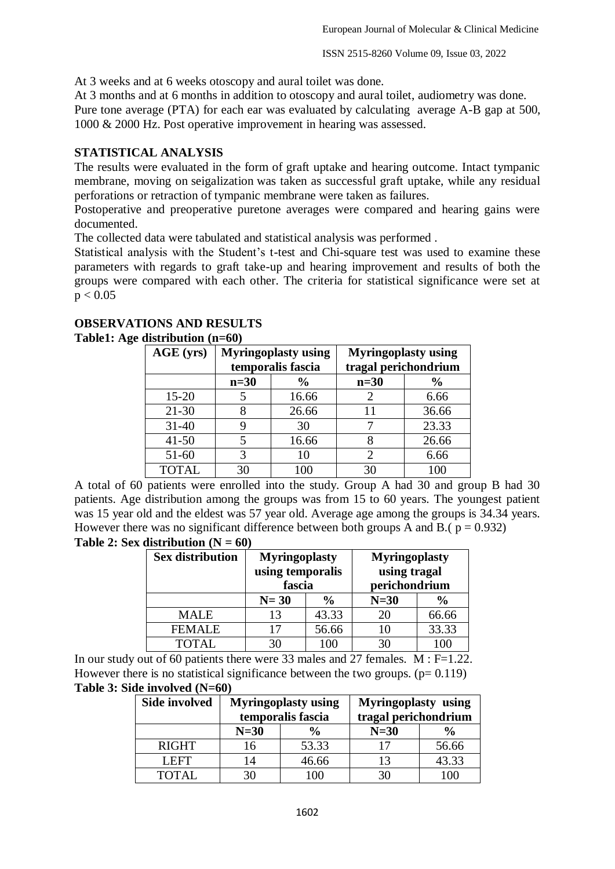At 3 weeks and at 6 weeks otoscopy and aural toilet was done.

At 3 months and at 6 months in addition to otoscopy and aural toilet, audiometry was done.

Pure tone average (PTA) for each ear was evaluated by calculating average A-B gap at 500, 1000 & 2000 Hz. Post operative improvement in hearing was assessed.

### **STATISTICAL ANALYSIS**

The results were evaluated in the form of graft uptake and hearing outcome. Intact tympanic membrane, moving on seigalization was taken as successful graft uptake, while any residual perforations or retraction of tympanic membrane were taken as failures.

Postoperative and preoperative puretone averages were compared and hearing gains were documented.

The collected data were tabulated and statistical analysis was performed .

Statistical analysis with the Student's t-test and Chi-square test was used to examine these parameters with regards to graft take-up and hearing improvement and results of both the groups were compared with each other. The criteria for statistical significance were set at  $p < 0.05$ 

#### **OBSERVATIONS AND RESULTS Table1: Age distribution (n=60)**

| AGE (yrs)    | <b>Myringoplasty using</b><br>temporalis fascia |                | <b>Myringoplasty using</b><br>tragal perichondrium |       |
|--------------|-------------------------------------------------|----------------|----------------------------------------------------|-------|
|              | $n=30$                                          | $\frac{6}{10}$ | $n=30$                                             | $\%$  |
| $15 - 20$    |                                                 | 16.66          |                                                    | 6.66  |
| $21 - 30$    | 8                                               | 26.66          | 11                                                 | 36.66 |
| $31 - 40$    | 9                                               | 30             |                                                    | 23.33 |
| $41 - 50$    | 5                                               | 16.66          |                                                    | 26.66 |
| $51 - 60$    | 3                                               | 10             |                                                    | 6.66  |
| <b>TOTAL</b> | 30                                              | 100            | 30                                                 | 100   |

A total of 60 patients were enrolled into the study. Group A had 30 and group B had 30 patients. Age distribution among the groups was from 15 to 60 years. The youngest patient was 15 year old and the eldest was 57 year old. Average age among the groups is 34.34 years. However there was no significant difference between both groups A and B.( $p = 0.932$ )

**Table 2: Sex distribution**  $(N = 60)$ 

| <b>Sex distribution</b> | <b>Myringoplasty</b><br>using temporalis<br>fascia |               | <b>Myringoplasty</b><br>using tragal<br>perichondrium |               |
|-------------------------|----------------------------------------------------|---------------|-------------------------------------------------------|---------------|
|                         | $N=30$                                             | $\frac{6}{9}$ | $N=30$                                                | $\frac{6}{9}$ |
| <b>MALE</b>             | 13                                                 | 43.33         | 20                                                    | 66.66         |
| <b>FEMALE</b>           | 17                                                 | 56.66         | 10                                                    | 33.33         |
| <b>TOTAL</b>            |                                                    | 100           | 30                                                    | ۱OC           |

In our study out of 60 patients there were 33 males and 27 females. M : F=1.22. However there is no statistical significance between the two groups.  $(p= 0.119)$ **Table 3: Side involved (N=60)**

| <b>Side involved</b> | <b>Myringoplasty using</b><br>temporalis fascia |       | <b>Myringoplasty</b> using<br>tragal perichondrium |               |
|----------------------|-------------------------------------------------|-------|----------------------------------------------------|---------------|
|                      | $N=30$                                          |       | $N=30$                                             | $\frac{6}{9}$ |
| <b>RIGHT</b>         | 16                                              | 53.33 | 17                                                 | 56.66         |
| LEFT.                | 14                                              | 46.66 | 13                                                 | 43.33         |
| TOTAL                |                                                 | ഥ വ   |                                                    |               |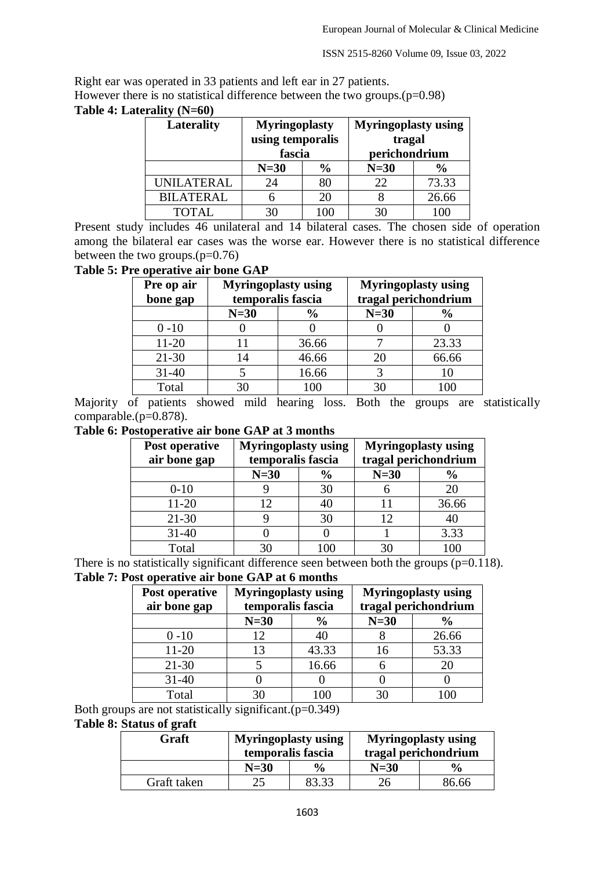Right ear was operated in 33 patients and left ear in 27 patients. However there is no statistical difference between the two groups.(p=0.98)

# **Table 4: Laterality (N=60)**

| Laterality        | <b>Myringoplasty</b><br>using temporalis<br>fascia |               | <b>Myringoplasty using</b><br>tragal<br>perichondrium |               |
|-------------------|----------------------------------------------------|---------------|-------------------------------------------------------|---------------|
|                   | $N=30$                                             | $\frac{6}{9}$ | $N=30$                                                | $\frac{0}{0}$ |
| <b>UNILATERAL</b> | 24                                                 | 80            | 22                                                    | 73.33         |
| <b>BILATERAL</b>  |                                                    | 20            |                                                       | 26.66         |
| TOTAL             |                                                    |               |                                                       |               |

Present study includes 46 unilateral and 14 bilateral cases. The chosen side of operation among the bilateral ear cases was the worse ear. However there is no statistical difference between the two groups. $(p=0.76)$ 

# **Table 5: Pre operative air bone GAP**

| Pre op air<br>bone gap | <b>Myringoplasty using</b><br>temporalis fascia |               |        | <b>Myringoplasty using</b><br>tragal perichondrium |
|------------------------|-------------------------------------------------|---------------|--------|----------------------------------------------------|
|                        | $N=30$                                          | $\frac{6}{9}$ | $N=30$ | $\frac{6}{6}$                                      |
| $0 - 10$               |                                                 |               |        |                                                    |
| $11 - 20$              |                                                 | 36.66         |        | 23.33                                              |
| $21 - 30$              | 14                                              | 46.66         | 20     | 66.66                                              |
| $31 - 40$              |                                                 | 16.66         |        |                                                    |
| Total                  | 30                                              | 100           |        |                                                    |

Majority of patients showed mild hearing loss. Both the groups are statistically comparable.(p=0.878).

# **Table 6: Postoperative air bone GAP at 3 months**

| Post operative | <b>Myringoplasty using</b> |               | <b>Myringoplasty using</b> |                      |
|----------------|----------------------------|---------------|----------------------------|----------------------|
| air bone gap   | temporalis fascia          |               |                            | tragal perichondrium |
|                | $N=30$                     | $\frac{0}{0}$ | $N=30$                     | $\%$                 |
| $0 - 10$       |                            | 30            |                            |                      |
| $11 - 20$      | 12                         |               |                            | 36.66                |
| $21 - 30$      |                            | 30            | 12                         |                      |
| $31 - 40$      |                            |               |                            | 3.33                 |
| Total          | 30                         | 100           | 30                         | 100                  |

There is no statistically significant difference seen between both the groups  $(p=0.118)$ .

# **Table 7: Post operative air bone GAP at 6 months**

| Post operative<br>air bone gap | <b>Myringoplasty using</b><br>temporalis fascia |               |        | <b>Myringoplasty using</b><br>tragal perichondrium |
|--------------------------------|-------------------------------------------------|---------------|--------|----------------------------------------------------|
|                                | $N=30$                                          | $\frac{6}{9}$ | $N=30$ | $\frac{6}{9}$                                      |
| $0 - 10$                       | 12                                              | 40            |        | 26.66                                              |
| $11 - 20$                      | 13                                              | 43.33         | 16     | 53.33                                              |
| $21 - 30$                      |                                                 | 16.66         |        |                                                    |
| $31 - 40$                      |                                                 |               |        |                                                    |
| Total                          |                                                 |               |        |                                                    |

Both groups are not statistically significant.(p=0.349)

# **Table 8: Status of graft**

| Graft       | <b>Myringoplasty using</b><br>temporalis fascia |               | <b>Myringoplasty using</b><br>tragal perichondrium |               |
|-------------|-------------------------------------------------|---------------|----------------------------------------------------|---------------|
|             | $N=30$                                          | $\frac{6}{9}$ | $N=30$                                             | $\frac{6}{9}$ |
| Graft taken |                                                 | 83.33         | 26                                                 | 86.66         |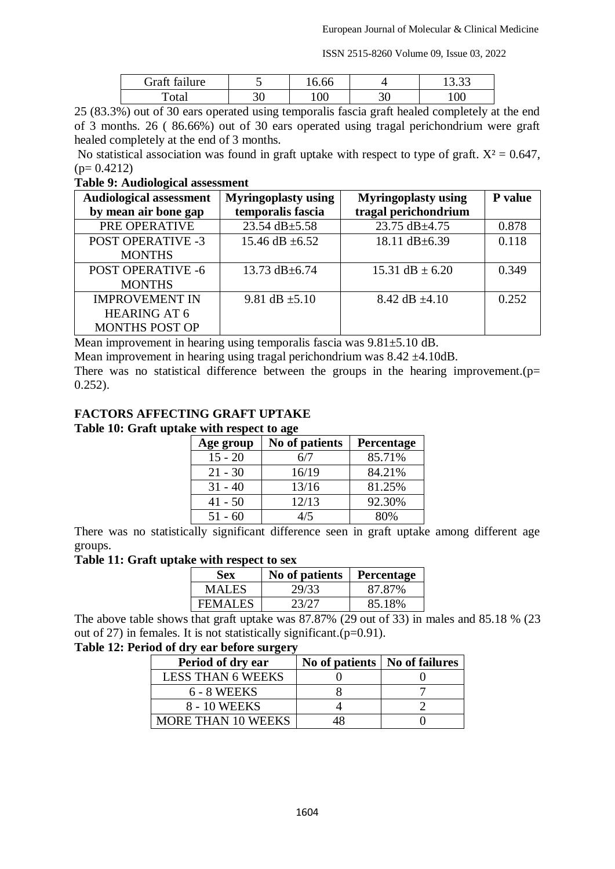| Graft failure        |    | 16.66 |           | $\Omega$<br>19.JJ |
|----------------------|----|-------|-----------|-------------------|
| $\tau_{\text{otal}}$ | υc | 100   | ┑.<br>J U | 100               |

25 (83.3%) out of 30 ears operated using temporalis fascia graft healed completely at the end of 3 months. 26 ( 86.66%) out of 30 ears operated using tragal perichondrium were graft healed completely at the end of 3 months.

No statistical association was found in graft uptake with respect to type of graft.  $X^2 = 0.647$ ,  $(p= 0.4212)$ 

#### **Table 9: Audiological assessment**

| <b>Audiological assessment</b> | <b>Myringoplasty using</b> | <b>Myringoplasty using</b> | P value |
|--------------------------------|----------------------------|----------------------------|---------|
| by mean air bone gap           | temporalis fascia          | tragal perichondrium       |         |
| PRE OPERATIVE                  | 23.54 dB $\pm$ 5.58        | 23.75 dB±4.75              | 0.878   |
| <b>POST OPERATIVE -3</b>       | 15.46 dB $\pm$ 6.52        | 18.11 dB±6.39              | 0.118   |
| <b>MONTHS</b>                  |                            |                            |         |
| <b>POST OPERATIVE -6</b>       | 13.73 $dB \pm 6.74$        | 15.31 dB $\pm$ 6.20        | 0.349   |
| <b>MONTHS</b>                  |                            |                            |         |
| <b>IMPROVEMENT IN</b>          | 9.81 dB $\pm$ 5.10         | 8.42 dB $\pm 4.10$         | 0.252   |
| <b>HEARING AT 6</b>            |                            |                            |         |
| <b>MONTHS POST OP</b>          |                            |                            |         |

Mean improvement in hearing using temporalis fascia was 9.81±5.10 dB.

Mean improvement in hearing using tragal perichondrium was  $8.42 \pm 4.10$ dB.

There was no statistical difference between the groups in the hearing improvement.  $(p=$ 0.252).

# **FACTORS AFFECTING GRAFT UPTAKE**

#### **Table 10: Graft uptake with respect to age**

| Age group | No of patients | <b>Percentage</b> |
|-----------|----------------|-------------------|
| $15 - 20$ |                | 85.71%            |
| $21 - 30$ | 16/19          | 84.21%            |
| $31 - 40$ | 13/16          | 81.25%            |
| $41 - 50$ | 12/13          | 92.30%            |
| $51 - 60$ | 4/5            | 80%               |

There was no statistically significant difference seen in graft uptake among different age groups.

#### **Table 11: Graft uptake with respect to sex**

| Sex            | No of patients | <b>Percentage</b> |
|----------------|----------------|-------------------|
| MALES          | 29/33          | 87.87%            |
| <b>FEMALES</b> | 23/27          | 85.18%            |

The above table shows that graft uptake was 87.87% (29 out of 33) in males and 85.18 % (23 out of 27) in females. It is not statistically significant.(p=0.91).

### **Table 12: Period of dry ear before surgery**

| Period of dry ear         | No of patients   No of failures |  |
|---------------------------|---------------------------------|--|
| <b>LESS THAN 6 WEEKS</b>  |                                 |  |
| 6 - 8 WEEKS               |                                 |  |
| 8 - 10 WEEKS              |                                 |  |
| <b>MORE THAN 10 WEEKS</b> |                                 |  |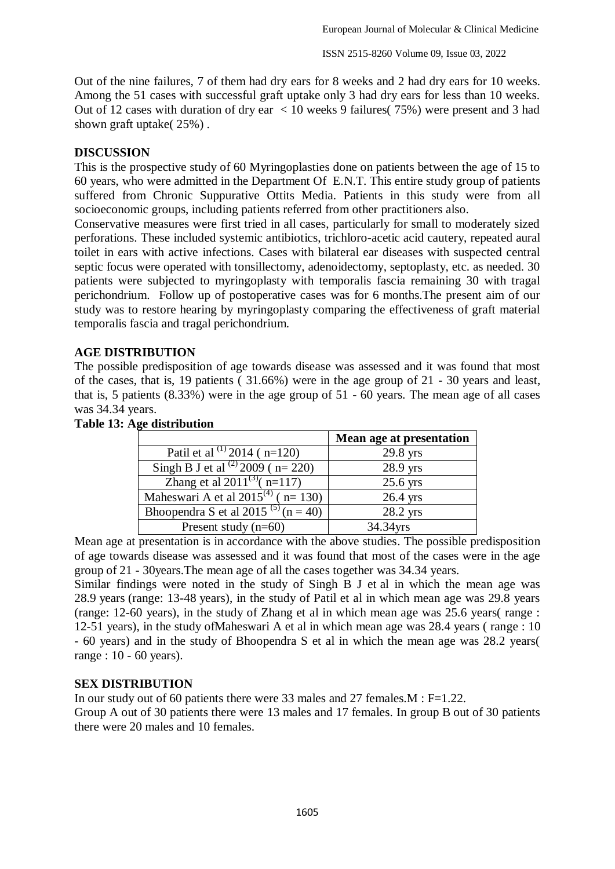Out of the nine failures, 7 of them had dry ears for 8 weeks and 2 had dry ears for 10 weeks. Among the 51 cases with successful graft uptake only 3 had dry ears for less than 10 weeks. Out of 12 cases with duration of dry ear < 10 weeks 9 failures( 75%) were present and 3 had shown graft uptake( 25%) .

#### **DISCUSSION**

This is the prospective study of 60 Myringoplasties done on patients between the age of 15 to 60 years, who were admitted in the Department Of E.N.T. This entire study group of patients suffered from Chronic Suppurative Ottits Media. Patients in this study were from all socioeconomic groups, including patients referred from other practitioners also.

Conservative measures were first tried in all cases, particularly for small to moderately sized perforations. These included systemic antibiotics, trichloro-acetic acid cautery, repeated aural toilet in ears with active infections. Cases with bilateral ear diseases with suspected central septic focus were operated with tonsillectomy, adenoidectomy, septoplasty, etc. as needed. 30 patients were subjected to myringoplasty with temporalis fascia remaining 30 with tragal perichondrium. Follow up of postoperative cases was for 6 months.The present aim of our study was to restore hearing by myringoplasty comparing the effectiveness of graft material temporalis fascia and tragal perichondrium.

### **AGE DISTRIBUTION**

The possible predisposition of age towards disease was assessed and it was found that most of the cases, that is, 19 patients ( 31.66%) were in the age group of 21 - 30 years and least, that is, 5 patients (8.33%) were in the age group of 51 - 60 years. The mean age of all cases was 34.34 years.

|                                                    | Mean age at presentation |
|----------------------------------------------------|--------------------------|
| Patil et al $^{(1)}$ 2014 (n=120)                  | 29.8 yrs                 |
| Singh B J et al <sup>(2)</sup> 2009 ( $n= 220$ )   | 28.9 yrs                 |
| Zhang et al $2011^{(3)}$ (n=117)                   | $25.6$ yrs               |
| Maheswari A et al $201\overline{5}^{(4)}$ (n= 130) | $26.4$ yrs               |
| Bhoopendra S et al $20\overline{15^{(5)}(n=40)}$   | 28.2 yrs                 |
| Present study $(n=60)$                             | 34.34yrs                 |

#### **Table 13: Age distribution**

Mean age at presentation is in accordance with the above studies. The possible predisposition of age towards disease was assessed and it was found that most of the cases were in the age group of 21 - 30years.The mean age of all the cases together was 34.34 years.

Similar findings were noted in the study of Singh B J et al in which the mean age was 28.9 years (range: 13-48 years), in the study of Patil et al in which mean age was 29.8 years (range: 12-60 years), in the study of Zhang et al in which mean age was 25.6 years( range : 12-51 years), in the study ofMaheswari A et al in which mean age was 28.4 years ( range : 10 - 60 years) and in the study of Bhoopendra S et al in which the mean age was 28.2 years( range : 10 - 60 years).

#### **SEX DISTRIBUTION**

In our study out of 60 patients there were 33 males and 27 females. $M : F=1.22$ .

Group A out of 30 patients there were 13 males and 17 females. In group B out of 30 patients there were 20 males and 10 females.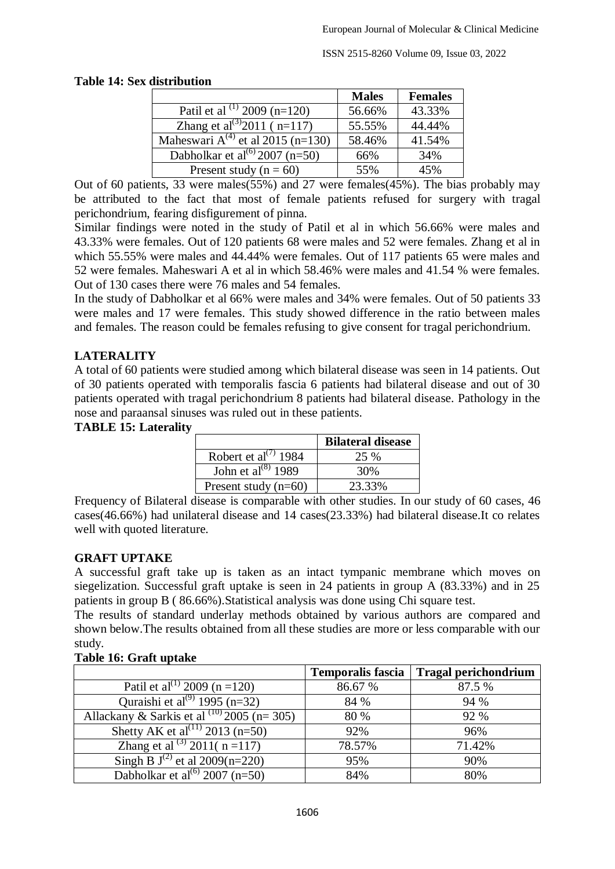### **Table 14: Sex distribution**

|                                              | <b>Males</b> | <b>Females</b> |
|----------------------------------------------|--------------|----------------|
| Patil et al $(1)$ 2009 (n=120)               | 56.66%       | 43.33%         |
| Zhang et al <sup>(3)</sup> 2011 ( $n=117$ )  | 55.55%       | 44.44%         |
| Maheswari $A^{(4)}$ et al 2015 (n=130)       | 58.46%       | 41.54%         |
| Dabholkar et al <sup>(6)</sup> 2007 $(n=50)$ | 66%          | 34%            |
| Present study ( $n = 60$ )                   | 55%          | 45%            |

Out of 60 patients, 33 were males(55%) and 27 were females(45%). The bias probably may be attributed to the fact that most of female patients refused for surgery with tragal perichondrium, fearing disfigurement of pinna.

Similar findings were noted in the study of Patil et al in which 56.66% were males and 43.33% were females. Out of 120 patients 68 were males and 52 were females. Zhang et al in which 55.55% were males and 44.44% were females. Out of 117 patients 65 were males and 52 were females. Maheswari A et al in which 58.46% were males and 41.54 % were females. Out of 130 cases there were 76 males and 54 females.

In the study of Dabholkar et al 66% were males and 34% were females. Out of 50 patients 33 were males and 17 were females. This study showed difference in the ratio between males and females. The reason could be females refusing to give consent for tragal perichondrium.

# **LATERALITY**

A total of 60 patients were studied among which bilateral disease was seen in 14 patients. Out of 30 patients operated with temporalis fascia 6 patients had bilateral disease and out of 30 patients operated with tragal perichondrium 8 patients had bilateral disease. Pathology in the nose and paraansal sinuses was ruled out in these patients.

### **TABLE 15: Laterality**

|                                               | <b>Bilateral disease</b> |
|-----------------------------------------------|--------------------------|
| Robert et al <sup><math>(7)</math></sup> 1984 | 25 %                     |
| John et al <sup>(8)</sup> 1989                | 30%                      |
| Present study $(n=60)$                        | 23.33%                   |

Frequency of Bilateral disease is comparable with other studies. In our study of 60 cases, 46 cases(46.66%) had unilateral disease and 14 cases(23.33%) had bilateral disease.It co relates well with quoted literature.

# **GRAFT UPTAKE**

A successful graft take up is taken as an intact tympanic membrane which moves on siegelization. Successful graft uptake is seen in 24 patients in group A (83.33%) and in 25 patients in group B ( 86.66%).Statistical analysis was done using Chi square test.

The results of standard underlay methods obtained by various authors are compared and shown below.The results obtained from all these studies are more or less comparable with our study.

|                                                  | <b>Temporalis fascia</b> | <b>Tragal perichondrium</b> |
|--------------------------------------------------|--------------------------|-----------------------------|
| Patil et al <sup>(1)</sup> 2009 (n = 120)        | 86.67 %                  | 87.5 %                      |
| Quraishi et al <sup>(9)</sup> 1995 (n=32)        | 84 %                     | 94 %                        |
| Allackany & Sarkis et al $^{(10)}$ 2005 (n= 305) | 80 %                     | 92 %                        |
| Shetty AK et al <sup>(11)</sup> 2013 (n=50)      | 92%                      | 96%                         |
| Zhang et al <sup>(3)</sup> 2011( $n = 117$ )     | 78.57%                   | 71.42%                      |
| Singh B $J^{(2)}$ et al 2009(n=220)              | 95%                      | 90%                         |
| Dabholkar et al <sup>(6)</sup> 2007 (n=50)       | 84%                      | 80%                         |

# **Table 16: Graft uptake**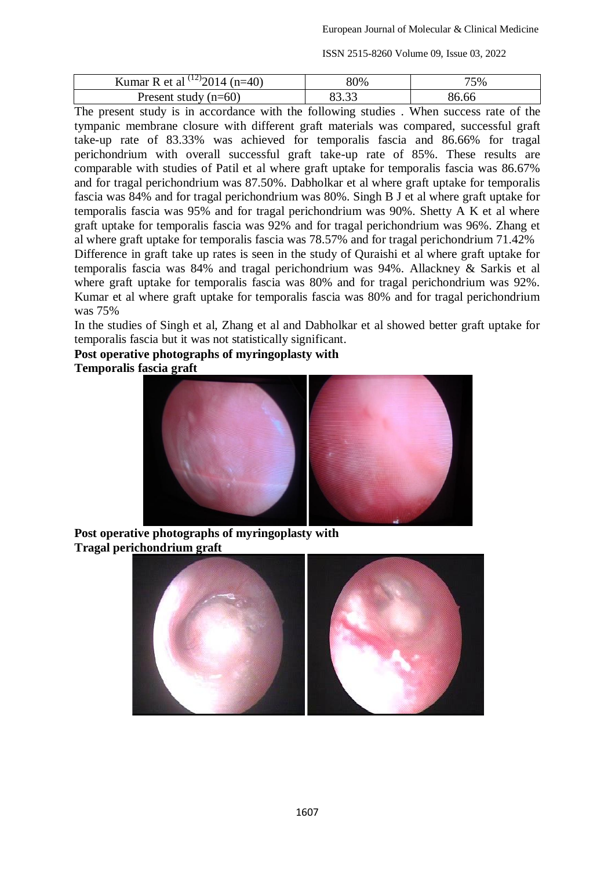| Kumar R et al $^{(12)}2014$ (n=40) | 80%       | '5% |
|------------------------------------|-----------|-----|
| Present study $(n=60)$             | 02.22<br> |     |

The present study is in accordance with the following studies . When success rate of the tympanic membrane closure with different graft materials was compared, successful graft take-up rate of 83.33% was achieved for temporalis fascia and 86.66% for tragal perichondrium with overall successful graft take-up rate of 85%. These results are comparable with studies of Patil et al where graft uptake for temporalis fascia was 86.67% and for tragal perichondrium was 87.50%. Dabholkar et al where graft uptake for temporalis fascia was 84% and for tragal perichondrium was 80%. Singh B J et al where graft uptake for temporalis fascia was 95% and for tragal perichondrium was 90%. Shetty A K et al where graft uptake for temporalis fascia was 92% and for tragal perichondrium was 96%. Zhang et al where graft uptake for temporalis fascia was 78.57% and for tragal perichondrium 71.42% Difference in graft take up rates is seen in the study of Quraishi et al where graft uptake for temporalis fascia was 84% and tragal perichondrium was 94%. Allackney & Sarkis et al where graft uptake for temporalis fascia was 80% and for tragal perichondrium was 92%. Kumar et al where graft uptake for temporalis fascia was 80% and for tragal perichondrium was 75%

In the studies of Singh et al, Zhang et al and Dabholkar et al showed better graft uptake for temporalis fascia but it was not statistically significant.

**Post operative photographs of myringoplasty with**

**Temporalis fascia graft**



**Post operative photographs of myringoplasty with Tragal perichondrium graft**

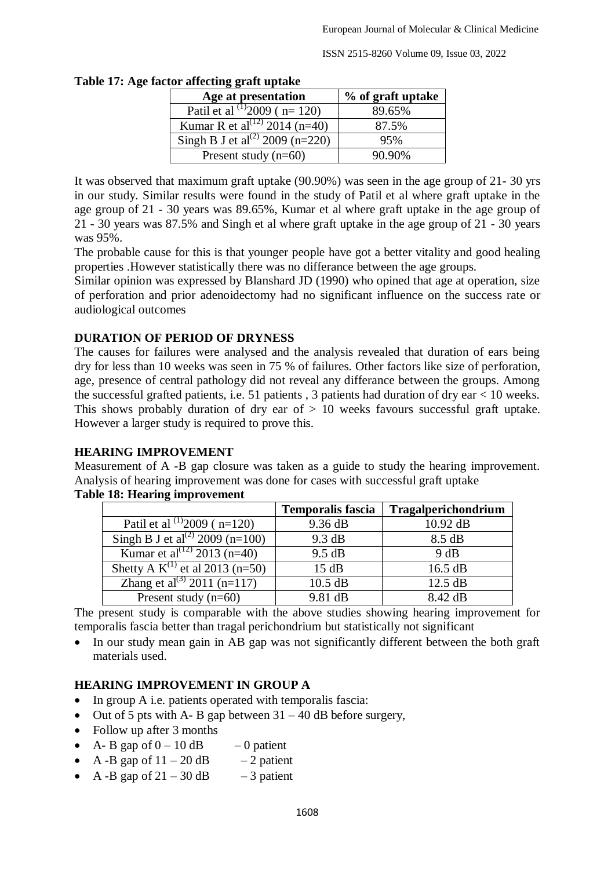| or anicumg gram uplanc                      |                   |
|---------------------------------------------|-------------------|
| Age at presentation                         | % of graft uptake |
| Patil et al $\binom{11}{2009}$ ( n= 120)    | 89.65%            |
| Kumar R et al <sup>(12)</sup> 2014 (n=40)   | 87.5%             |
| Singh B J et al <sup>(2)</sup> 2009 (n=220) | 95%               |
| Present study $(n=60)$                      | 90.90%            |

#### **Table 17: Age factor affecting graft uptake**

It was observed that maximum graft uptake (90.90%) was seen in the age group of 21- 30 yrs in our study. Similar results were found in the study of Patil et al where graft uptake in the age group of 21 - 30 years was 89.65%, Kumar et al where graft uptake in the age group of 21 - 30 years was 87.5% and Singh et al where graft uptake in the age group of 21 - 30 years was 95%.

The probable cause for this is that younger people have got a better vitality and good healing properties .However statistically there was no differance between the age groups.

Similar opinion was expressed by Blanshard JD (1990) who opined that age at operation, size of perforation and prior adenoidectomy had no significant influence on the success rate or audiological outcomes

# **DURATION OF PERIOD OF DRYNESS**

The causes for failures were analysed and the analysis revealed that duration of ears being dry for less than 10 weeks was seen in 75 % of failures. Other factors like size of perforation, age, presence of central pathology did not reveal any differance between the groups. Among the successful grafted patients, i.e. 51 patients , 3 patients had duration of dry ear < 10 weeks. This shows probably duration of dry ear of  $> 10$  weeks favours successful graft uptake. However a larger study is required to prove this.

#### **HEARING IMPROVEMENT**

Measurement of A -B gap closure was taken as a guide to study the hearing improvement. Analysis of hearing improvement was done for cases with successful graft uptake

|                                             | <b>Temporalis fascia</b> | Tragalperichondrium |
|---------------------------------------------|--------------------------|---------------------|
| Patil et al $^{(1)}2009$ (n=120)            | 9.36 dB                  | 10.92 dB            |
| Singh B J et al <sup>(2)</sup> 2009 (n=100) | 9.3 dB                   | 8.5 dB              |
| Kumar et al <sup>(12)</sup> 2013 (n=40)     | 9.5 dB                   | 9 dB                |
| Shetty A $K^{(1)}$ et al 2013 (n=50)        | 15 dB                    | 16.5 dB             |
| Zhang et al <sup>(3)</sup> 2011 (n=117)     | $10.5$ dB                | 12.5 dB             |
| Present study $(n=60)$                      | 9.81 dB                  | 8.42 dB             |

#### **Table 18: Hearing improvement**

The present study is comparable with the above studies showing hearing improvement for temporalis fascia better than tragal perichondrium but statistically not significant

 In our study mean gain in AB gap was not significantly different between the both graft materials used.

# **HEARING IMPROVEMENT IN GROUP A**

- In group A i.e. patients operated with temporalis fascia:
- Out of 5 pts with A- B gap between  $31 40$  dB before surgery,
- Follow up after 3 months
- A- B gap of  $0 10$  dB  $-0$  patient
- A -B gap of  $11 20$  dB  $-2$  patient
- A -B gap of  $21 30$  dB  $-3$  patient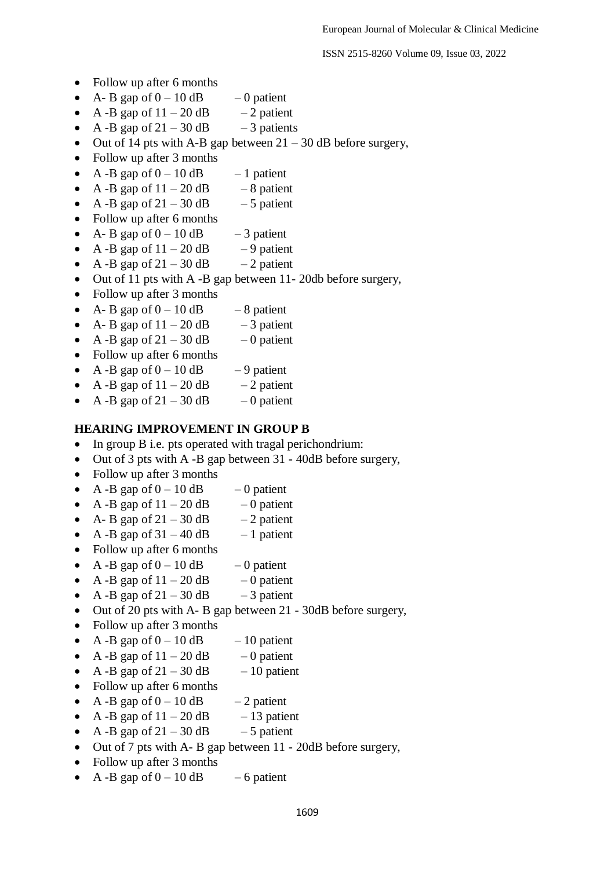- Follow up after 6 months
- A- B gap of  $0 10$  dB  $-0$  patient
- A -B gap of  $11 20$  dB  $-2$  patient
- A -B gap of  $21 30$  dB  $-3$  patients
- Out of 14 pts with A-B gap between  $21 30$  dB before surgery,
- Follow up after 3 months
- A -B gap of  $0 10$  dB  $-1$  patient
- A -B gap of  $11 20$  dB  $-8$  patient
- A -B gap of  $21 30$  dB  $-5$  patient
- Follow up after 6 months
- A- B gap of  $0 10$  dB  $-3$  patient
- A -B gap of  $11 20$  dB  $-9$  patient
- A -B gap of  $21 30$  dB  $-2$  patient
- Out of 11 pts with A -B gap between 11-20db before surgery,
- Follow up after 3 months
- A- B gap of  $0 10$  dB  $-8$  patient
- A- B gap of  $11 20$  dB  $-3$  patient
- A -B gap of  $21 30$  dB  $-0$  patient
- Follow up after 6 months
- A -B gap of  $0 10$  dB  $-9$  patient
- A -B gap of  $11 20$  dB  $-2$  patient
- A -B gap of  $21 30$  dB  $-0$  patient

#### **HEARING IMPROVEMENT IN GROUP B**

- In group B i.e. pts operated with tragal perichondrium:
- Out of 3 pts with A -B gap between 31 40dB before surgery,
- Follow up after 3 months
- A -B gap of  $0 10$  dB  $-0$  patient
- A -B gap of  $11 20$  dB  $-0$  patient
- A- B gap of  $21 30$  dB  $-2$  patient
- A -B gap of  $31 40$  dB  $-1$  patient
- Follow up after 6 months
- A -B gap of  $0 10$  dB  $-0$  patient
- A -B gap of  $11 20$  dB  $-0$  patient
- A -B gap of  $21 30$  dB  $-3$  patient
- Out of 20 pts with A- B gap between 21 30dB before surgery,
- Follow up after 3 months
- A -B gap of  $0 10$  dB  $-10$  patient
- A -B gap of  $11 20$  dB  $-0$  patient
- A -B gap of  $21 30$  dB  $-10$  patient
- Follow up after 6 months
- A -B gap of  $0 10$  dB  $-2$  patient
- A -B gap of  $11 20$  dB  $-13$  patient
- A -B gap of  $21 30$  dB  $-5$  patient
- Out of 7 pts with A- B gap between 11 20dB before surgery,
- Follow up after 3 months
- A -B gap of  $0 10$  dB  $-6$  patient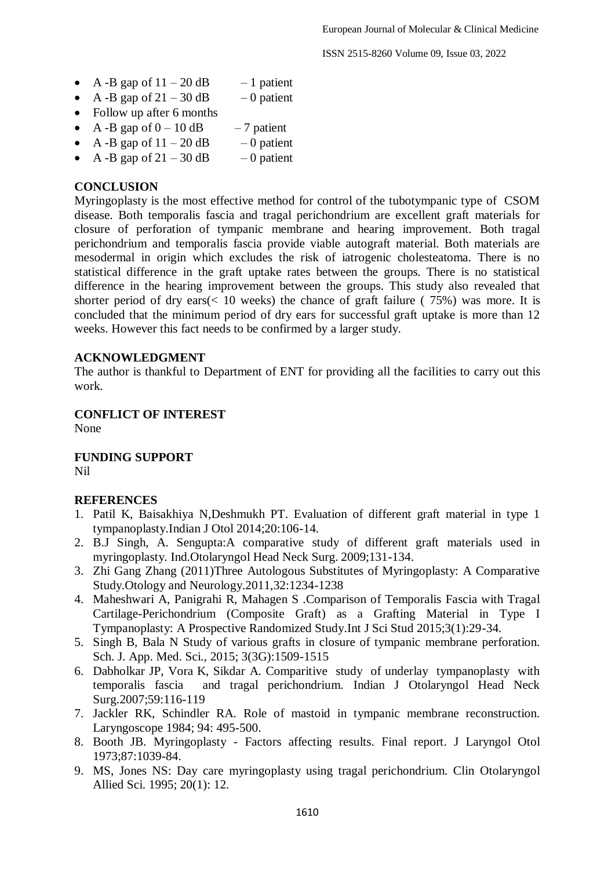- A -B gap of  $11 20$  dB  $-1$  patient
- A -B gap of  $21 30$  dB  $-0$  patient
- Follow up after 6 months
- A -B gap of  $0 10$  dB  $-7$  patient
- A -B gap of  $11 20$  dB  $-0$  patient
- A -B gap of  $21 30$  dB  $-0$  patient

### **CONCLUSION**

Myringoplasty is the most effective method for control of the tubotympanic type of CSOM disease. Both temporalis fascia and tragal perichondrium are excellent graft materials for closure of perforation of tympanic membrane and hearing improvement. Both tragal perichondrium and temporalis fascia provide viable autograft material. Both materials are mesodermal in origin which excludes the risk of iatrogenic cholesteatoma. There is no statistical difference in the graft uptake rates between the groups. There is no statistical difference in the hearing improvement between the groups. This study also revealed that shorter period of dry ears( $< 10$  weeks) the chance of graft failure (75%) was more. It is concluded that the minimum period of dry ears for successful graft uptake is more than 12 weeks. However this fact needs to be confirmed by a larger study.

### **ACKNOWLEDGMENT**

The author is thankful to Department of ENT for providing all the facilities to carry out this work.

### **CONFLICT OF INTEREST**

None

**FUNDING SUPPORT** Nil

#### **REFERENCES**

- 1. Patil K, Baisakhiya N,Deshmukh PT. Evaluation of different graft material in type 1 tympanoplasty.Indian J Otol 2014;20:106-14.
- 2. B.J Singh, A. Sengupta:A comparative study of different graft materials used in myringoplasty. Ind.Otolaryngol Head Neck Surg. 2009;131-134.
- 3. Zhi Gang Zhang (2011)Three Autologous Substitutes of Myringoplasty: A Comparative Study.Otology and Neurology.2011,32:1234-1238
- 4. Maheshwari A, Panigrahi R, Mahagen S .Comparison of Temporalis Fascia with Tragal Cartilage-Perichondrium (Composite Graft) as a Grafting Material in Type I Tympanoplasty: A Prospective Randomized Study.Int J Sci Stud 2015;3(1):29-34.
- 5. Singh B, Bala N Study of various grafts in closure of tympanic membrane perforation. Sch. J. App. Med. Sci., 2015; 3(3G):1509-1515
- 6. Dabholkar JP, Vora K, Sikdar A. Comparitive study of underlay tympanoplasty with temporalis fascia and tragal perichondrium. Indian J Otolaryngol Head Neck Surg.2007;59:116-119
- 7. Jackler RK, Schindler RA. Role of mastoid in tympanic membrane reconstruction. Laryngoscope 1984; 94: 495-500.
- 8. Booth JB. Myringoplasty Factors affecting results. Final report. J Laryngol Otol 1973;87:1039-84.
- 9. MS, Jones NS: Day care myringoplasty using tragal perichondrium. Clin Otolaryngol Allied Sci. 1995; 20(1): 12.